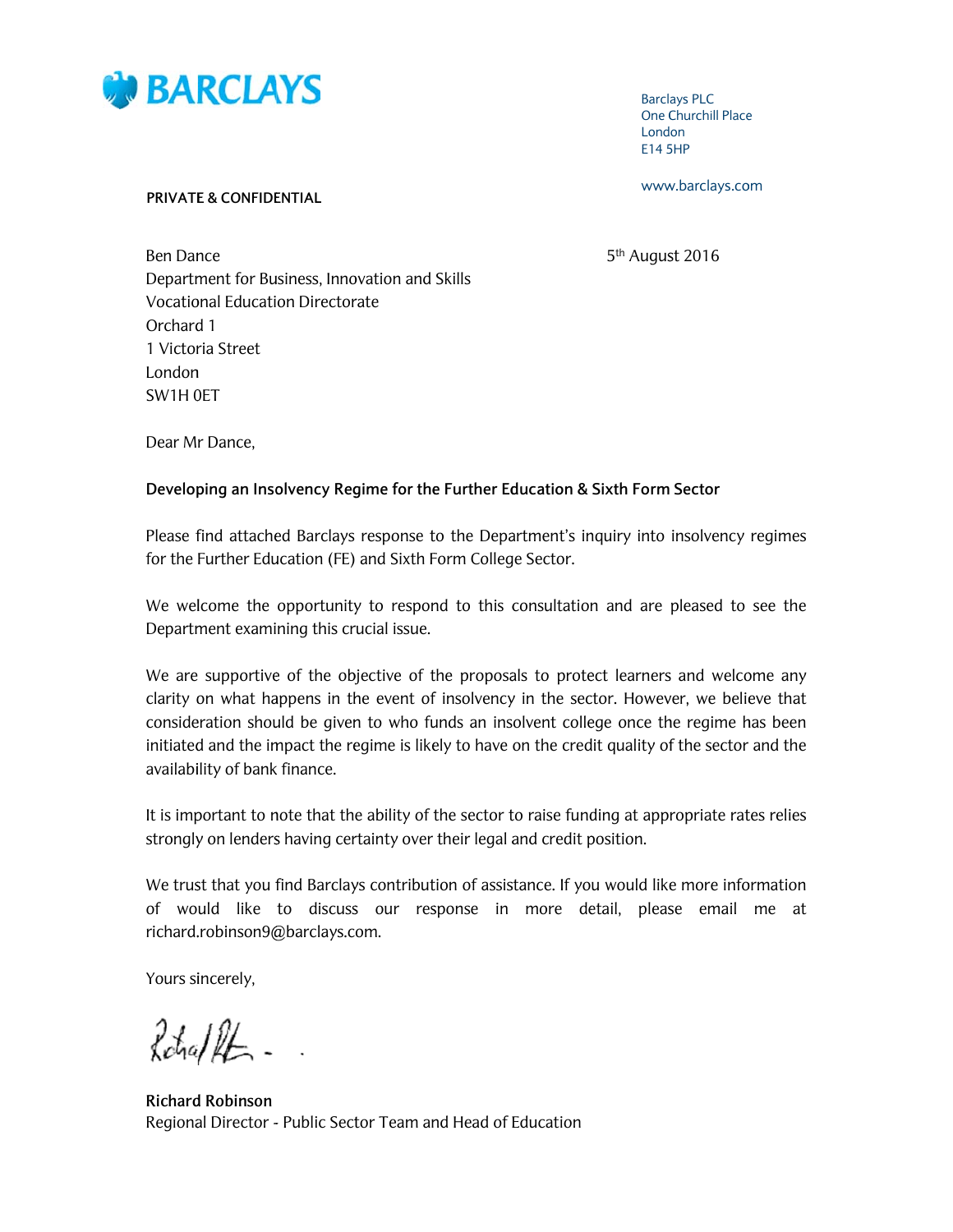

**Barclays PLC One Churchill Place** London E14 5HP

www.barclays.com

#### **PRIVATE & CONFIDENTIAL**

5<sup>th</sup> August 2016

**Ben Dance** Department for Business, Innovation and Skills **Vocational Education Directorate** Orchard 1 1 Victoria Street London SW1H OFT

Dear Mr Dance,

## Developing an Insolvency Regime for the Further Education & Sixth Form Sector

Please find attached Barclays response to the Department's inquiry into insolvency regimes for the Further Education (FE) and Sixth Form College Sector.

We welcome the opportunity to respond to this consultation and are pleased to see the Department examining this crucial issue.

We are supportive of the objective of the proposals to protect learners and welcome any clarity on what happens in the event of insolvency in the sector. However, we believe that consideration should be given to who funds an insolvent college once the regime has been initiated and the impact the regime is likely to have on the credit quality of the sector and the availability of bank finance.

It is important to note that the ability of the sector to raise funding at appropriate rates relies strongly on lenders having certainty over their legal and credit position.

We trust that you find Barclays contribution of assistance. If you would like more information of would like to discuss our response in more detail, please email me at richard.robinson9@barclays.com.

Yours sincerely,

Rohallt -

**Richard Robinson** Regional Director - Public Sector Team and Head of Education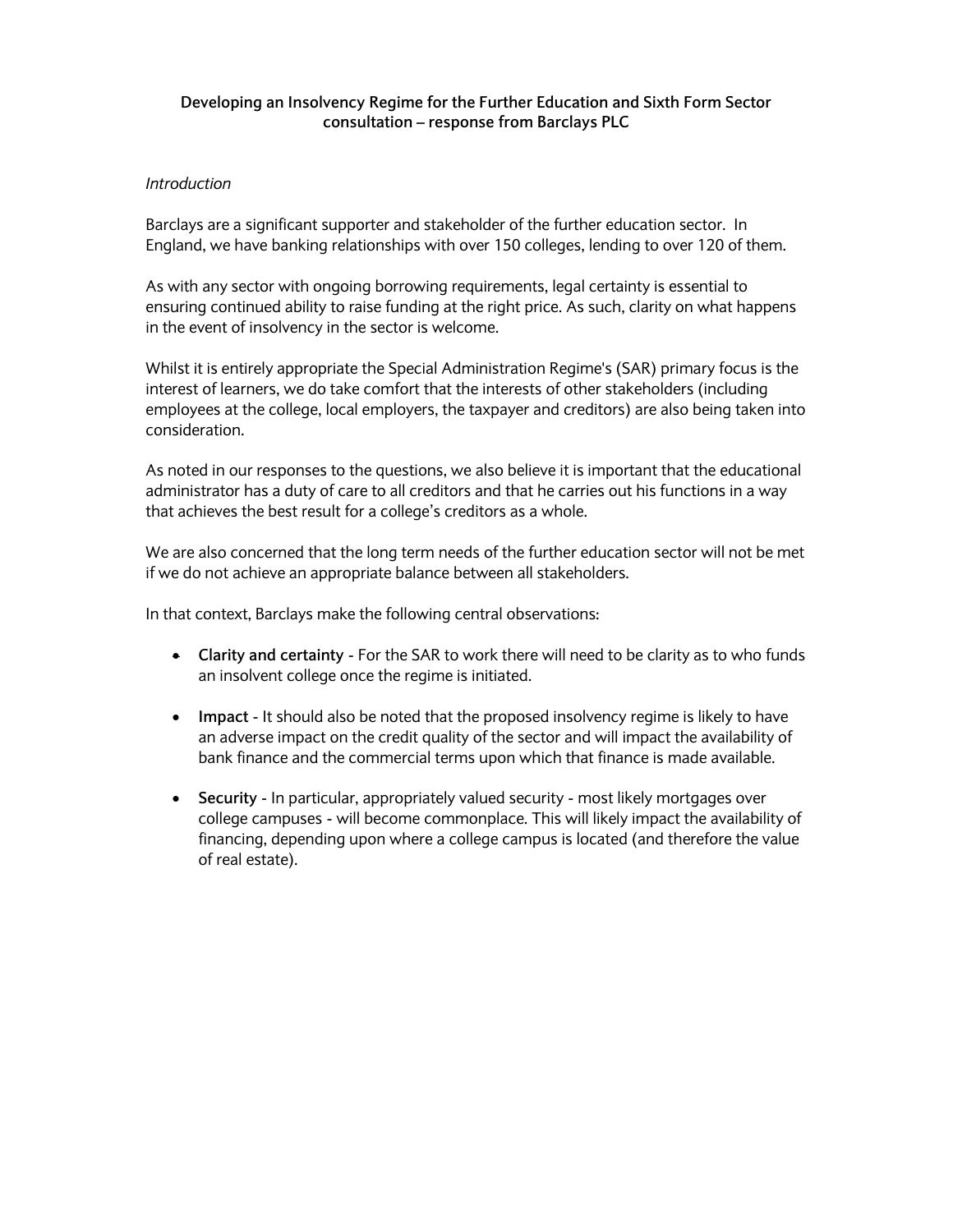# **Developing an Insolvency Regime for the Further Education and Sixth Form Sector consultation – response from Barclays PLC**

#### *Introduction*

Barclays are a significant supporter and stakeholder of the further education sector. In England, we have banking relationships with over 150 colleges, lending to over 120 of them.

As with any sector with ongoing borrowing requirements, legal certainty is essential to ensuring continued ability to raise funding at the right price. As such, clarity on what happens in the event of insolvency in the sector is welcome.

Whilst it is entirely appropriate the Special Administration Regime's (SAR) primary focus is the interest of learners, we do take comfort that the interests of other stakeholders (including employees at the college, local employers, the taxpayer and creditors) are also being taken into consideration.

As noted in our responses to the questions, we also believe it is important that the educational administrator has a duty of care to all creditors and that he carries out his functions in a way that achieves the best result for a college's creditors as a whole.

We are also concerned that the long term needs of the further education sector will not be met if we do not achieve an appropriate balance between all stakeholders.

In that context, Barclays make the following central observations:

- **Clarity and certainty** For the SAR to work there will need to be clarity as to who funds an insolvent college once the regime is initiated.
- **Impact** It should also be noted that the proposed insolvency regime is likely to have an adverse impact on the credit quality of the sector and will impact the availability of bank finance and the commercial terms upon which that finance is made available.
- **Security** In particular, appropriately valued security most likely mortgages over college campuses - will become commonplace. This will likely impact the availability of financing, depending upon where a college campus is located (and therefore the value of real estate).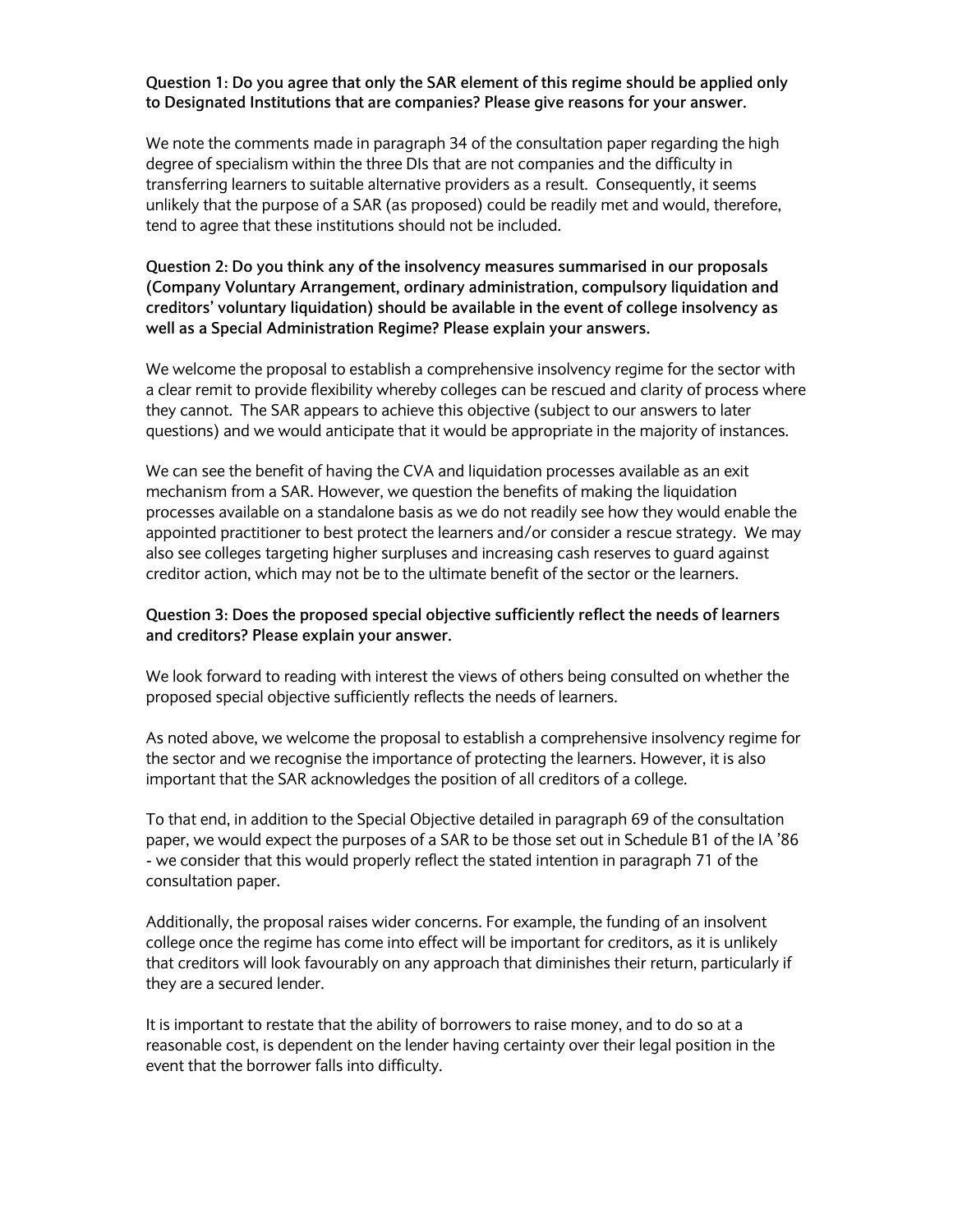## **Question 1: Do you agree that only the SAR element of this regime should be applied only to Designated Institutions that are companies? Please give reasons for your answer.**

We note the comments made in paragraph 34 of the consultation paper regarding the high degree of specialism within the three DIs that are not companies and the difficulty in transferring learners to suitable alternative providers as a result. Consequently, it seems unlikely that the purpose of a SAR (as proposed) could be readily met and would, therefore, tend to agree that these institutions should not be included.

# **Question 2: Do you think any of the insolvency measures summarised in our proposals (Company Voluntary Arrangement, ordinary administration, compulsory liquidation and creditors' voluntary liquidation) should be available in the event of college insolvency as well as a Special Administration Regime? Please explain your answers.**

We welcome the proposal to establish a comprehensive insolvency regime for the sector with a clear remit to provide flexibility whereby colleges can be rescued and clarity of process where they cannot. The SAR appears to achieve this objective (subject to our answers to later questions) and we would anticipate that it would be appropriate in the majority of instances.

We can see the benefit of having the CVA and liquidation processes available as an exit mechanism from a SAR. However, we question the benefits of making the liquidation processes available on a standalone basis as we do not readily see how they would enable the appointed practitioner to best protect the learners and/or consider a rescue strategy. We may also see colleges targeting higher surpluses and increasing cash reserves to guard against creditor action, which may not be to the ultimate benefit of the sector or the learners.

## **Question 3: Does the proposed special objective sufficiently reflect the needs of learners and creditors? Please explain your answer.**

We look forward to reading with interest the views of others being consulted on whether the proposed special objective sufficiently reflects the needs of learners.

As noted above, we welcome the proposal to establish a comprehensive insolvency regime for the sector and we recognise the importance of protecting the learners. However, it is also important that the SAR acknowledges the position of all creditors of a college.

To that end, in addition to the Special Objective detailed in paragraph 69 of the consultation paper, we would expect the purposes of a SAR to be those set out in Schedule B1 of the IA '86 - we consider that this would properly reflect the stated intention in paragraph 71 of the consultation paper.

Additionally, the proposal raises wider concerns. For example, the funding of an insolvent college once the regime has come into effect will be important for creditors, as it is unlikely that creditors will look favourably on any approach that diminishes their return, particularly if they are a secured lender.

It is important to restate that the ability of borrowers to raise money, and to do so at a reasonable cost, is dependent on the lender having certainty over their legal position in the event that the borrower falls into difficulty.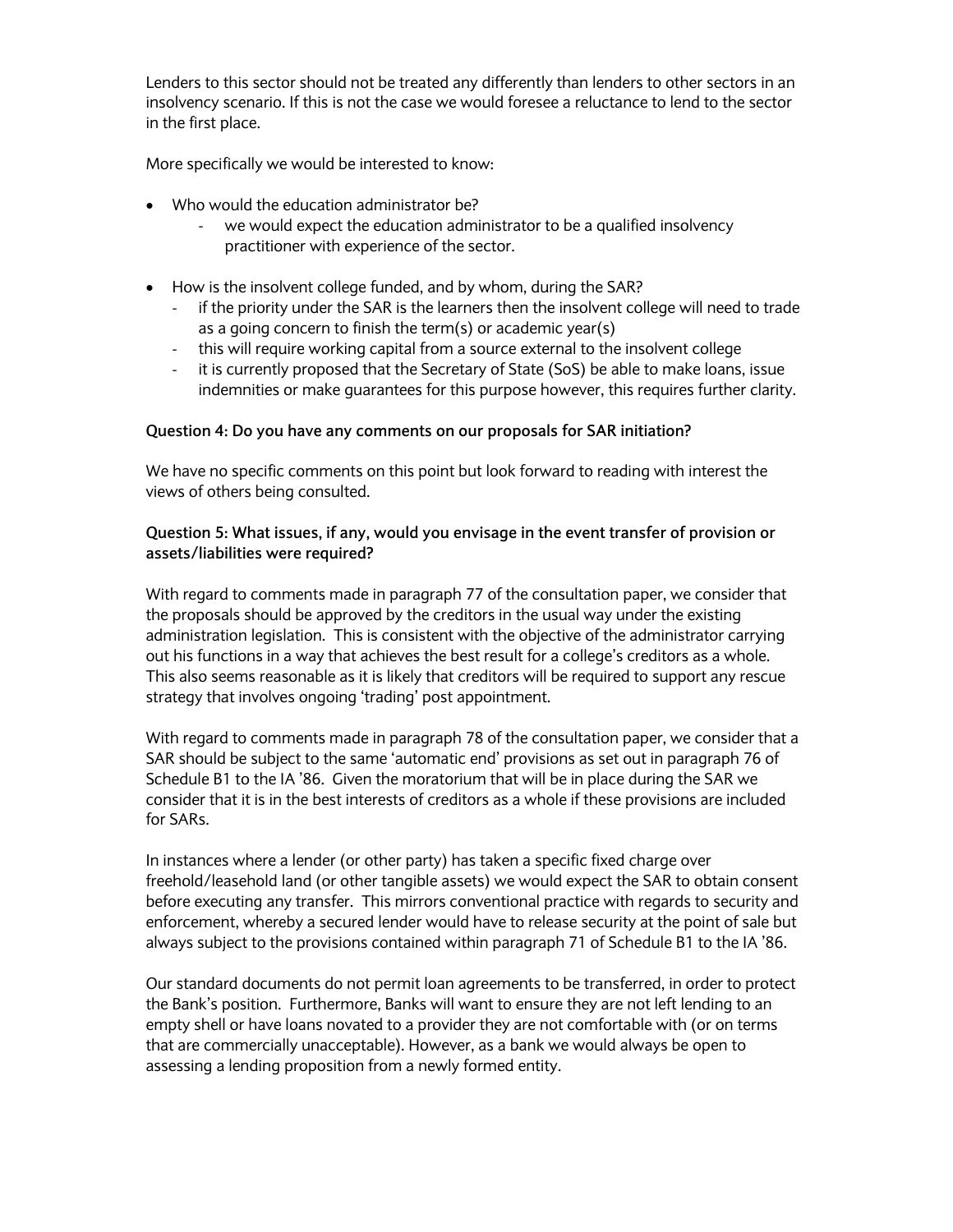Lenders to this sector should not be treated any differently than lenders to other sectors in an insolvency scenario. If this is not the case we would foresee a reluctance to lend to the sector in the first place.

More specifically we would be interested to know:

- Who would the education administrator be?
	- we would expect the education administrator to be a qualified insolvency practitioner with experience of the sector.
- How is the insolvent college funded, and by whom, during the SAR?
	- ‐ if the priority under the SAR is the learners then the insolvent college will need to trade as a going concern to finish the term(s) or academic year(s)
	- ‐ this will require working capital from a source external to the insolvent college
	- ‐ it is currently proposed that the Secretary of State (SoS) be able to make loans, issue indemnities or make guarantees for this purpose however, this requires further clarity.

#### **Question 4: Do you have any comments on our proposals for SAR initiation?**

We have no specific comments on this point but look forward to reading with interest the views of others being consulted.

### **Question 5: What issues, if any, would you envisage in the event transfer of provision or assets/liabilities were required?**

With regard to comments made in paragraph 77 of the consultation paper, we consider that the proposals should be approved by the creditors in the usual way under the existing administration legislation. This is consistent with the objective of the administrator carrying out his functions in a way that achieves the best result for a college's creditors as a whole. This also seems reasonable as it is likely that creditors will be required to support any rescue strategy that involves ongoing 'trading' post appointment.

With regard to comments made in paragraph 78 of the consultation paper, we consider that a SAR should be subject to the same 'automatic end' provisions as set out in paragraph 76 of Schedule B1 to the IA '86. Given the moratorium that will be in place during the SAR we consider that it is in the best interests of creditors as a whole if these provisions are included for SARs.

In instances where a lender (or other party) has taken a specific fixed charge over freehold/leasehold land (or other tangible assets) we would expect the SAR to obtain consent before executing any transfer. This mirrors conventional practice with regards to security and enforcement, whereby a secured lender would have to release security at the point of sale but always subject to the provisions contained within paragraph 71 of Schedule B1 to the IA '86.

Our standard documents do not permit loan agreements to be transferred, in order to protect the Bank's position. Furthermore, Banks will want to ensure they are not left lending to an empty shell or have loans novated to a provider they are not comfortable with (or on terms that are commercially unacceptable). However, as a bank we would always be open to assessing a lending proposition from a newly formed entity.